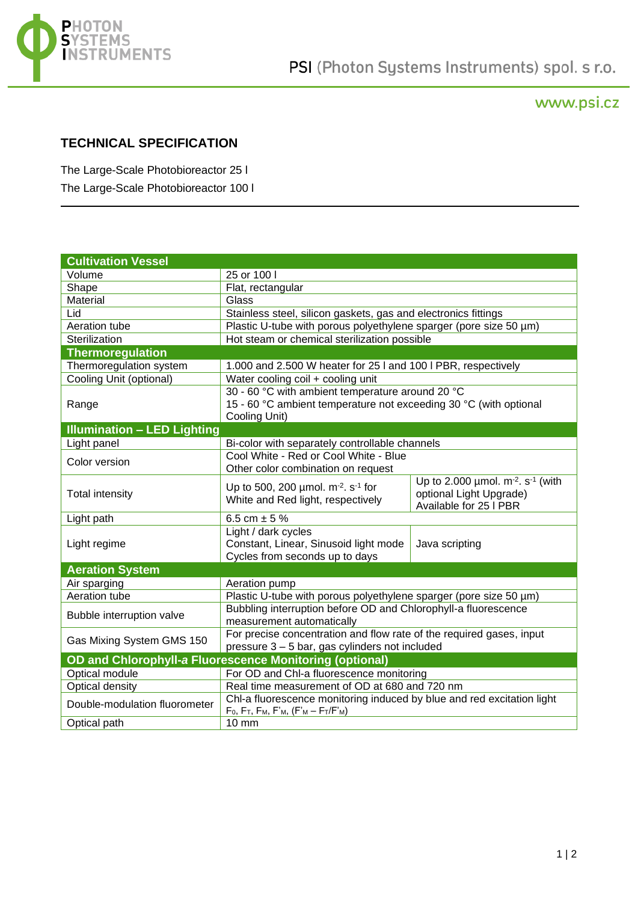

## www.psi.cz

## **TECHNICAL SPECIFICATION**

The Large-Scale Photobioreactor 25 l The Large-Scale Photobioreactor 100 l

| <b>Cultivation Vessel</b>          |                                                                                                                                        |                                                                                                         |
|------------------------------------|----------------------------------------------------------------------------------------------------------------------------------------|---------------------------------------------------------------------------------------------------------|
| Volume                             | 25 or 100 l                                                                                                                            |                                                                                                         |
| Shape                              | Flat, rectangular                                                                                                                      |                                                                                                         |
| Material                           | Glass                                                                                                                                  |                                                                                                         |
| Lid                                | Stainless steel, silicon gaskets, gas and electronics fittings                                                                         |                                                                                                         |
| Aeration tube                      | Plastic U-tube with porous polyethylene sparger (pore size 50 µm)                                                                      |                                                                                                         |
| Sterilization                      | Hot steam or chemical sterilization possible                                                                                           |                                                                                                         |
| <b>Thermoregulation</b>            |                                                                                                                                        |                                                                                                         |
| Thermoregulation system            | 1.000 and 2.500 W heater for 25 I and 100 I PBR, respectively                                                                          |                                                                                                         |
| Cooling Unit (optional)            | Water cooling coil + cooling unit                                                                                                      |                                                                                                         |
| Range                              | 30 - 60 °C with ambient temperature around 20 °C<br>15 - 60 °C ambient temperature not exceeding 30 °C (with optional<br>Cooling Unit) |                                                                                                         |
| <b>Illumination - LED Lighting</b> |                                                                                                                                        |                                                                                                         |
| Light panel                        | Bi-color with separately controllable channels                                                                                         |                                                                                                         |
| Color version                      | Cool White - Red or Cool White - Blue                                                                                                  |                                                                                                         |
|                                    | Other color combination on request                                                                                                     |                                                                                                         |
| <b>Total intensity</b>             | Up to 500, 200 $\mu$ mol. m <sup>-2</sup> . s <sup>-1</sup> for<br>White and Red light, respectively                                   | Up to 2.000 µmol. $m^{-2}$ . s <sup>-1</sup> (with<br>optional Light Upgrade)<br>Available for 25 I PBR |
| Light path                         | 6.5 cm $\pm$ 5 %                                                                                                                       |                                                                                                         |
| Light regime                       | Light / dark cycles<br>Constant, Linear, Sinusoid light mode<br>Cycles from seconds up to days                                         | Java scripting                                                                                          |
| <b>Aeration System</b>             |                                                                                                                                        |                                                                                                         |
| Air sparging                       | Aeration pump                                                                                                                          |                                                                                                         |
| Aeration tube                      | Plastic U-tube with porous polyethylene sparger (pore size 50 µm)                                                                      |                                                                                                         |
| Bubble interruption valve          | Bubbling interruption before OD and Chlorophyll-a fluorescence<br>measurement automatically                                            |                                                                                                         |
| Gas Mixing System GMS 150          | For precise concentration and flow rate of the required gases, input<br>pressure 3 - 5 bar, gas cylinders not included                 |                                                                                                         |
|                                    | OD and Chlorophyll-a Fluorescence Monitoring (optional)                                                                                |                                                                                                         |
| Optical module                     | For OD and Chl-a fluorescence monitoring                                                                                               |                                                                                                         |
| Optical density                    | Real time measurement of OD at 680 and 720 nm                                                                                          |                                                                                                         |
| Double-modulation fluorometer      | Chl-a fluorescence monitoring induced by blue and red excitation light<br>$F_0, F_T, F_M, F'_M, (F'_M - F_T/F'_M)$                     |                                                                                                         |
| Optical path                       | 10 mm                                                                                                                                  |                                                                                                         |